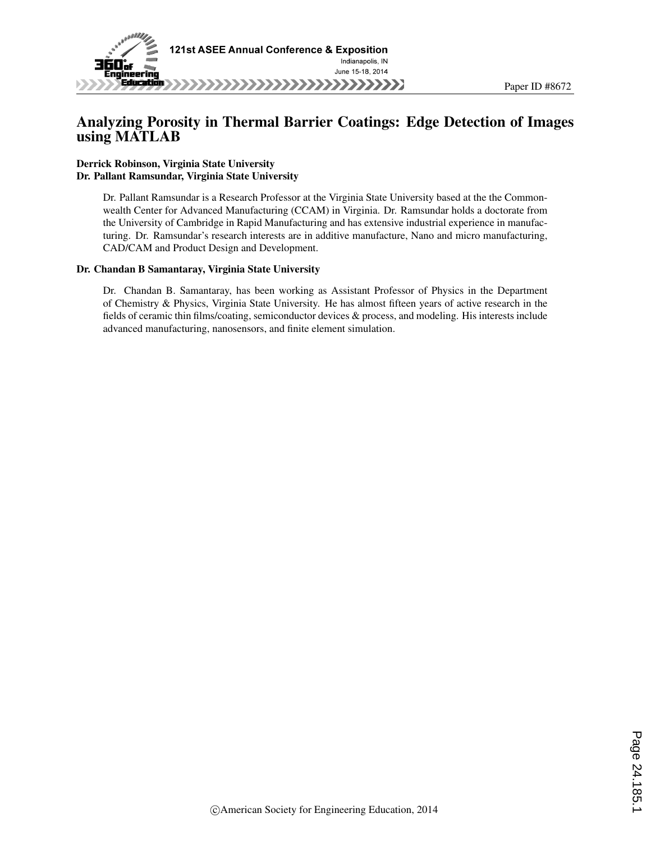

# Analyzing Porosity in Thermal Barrier Coatings: Edge Detection of Images using MATLAB

#### Derrick Robinson, Virginia State University Dr. Pallant Ramsundar, Virginia State University

Dr. Pallant Ramsundar is a Research Professor at the Virginia State University based at the the Commonwealth Center for Advanced Manufacturing (CCAM) in Virginia. Dr. Ramsundar holds a doctorate from the University of Cambridge in Rapid Manufacturing and has extensive industrial experience in manufacturing. Dr. Ramsundar's research interests are in additive manufacture, Nano and micro manufacturing, CAD/CAM and Product Design and Development.

#### Dr. Chandan B Samantaray, Virginia State University

Dr. Chandan B. Samantaray, has been working as Assistant Professor of Physics in the Department of Chemistry & Physics, Virginia State University. He has almost fifteen years of active research in the fields of ceramic thin films/coating, semiconductor devices & process, and modeling. His interests include advanced manufacturing, nanosensors, and finite element simulation.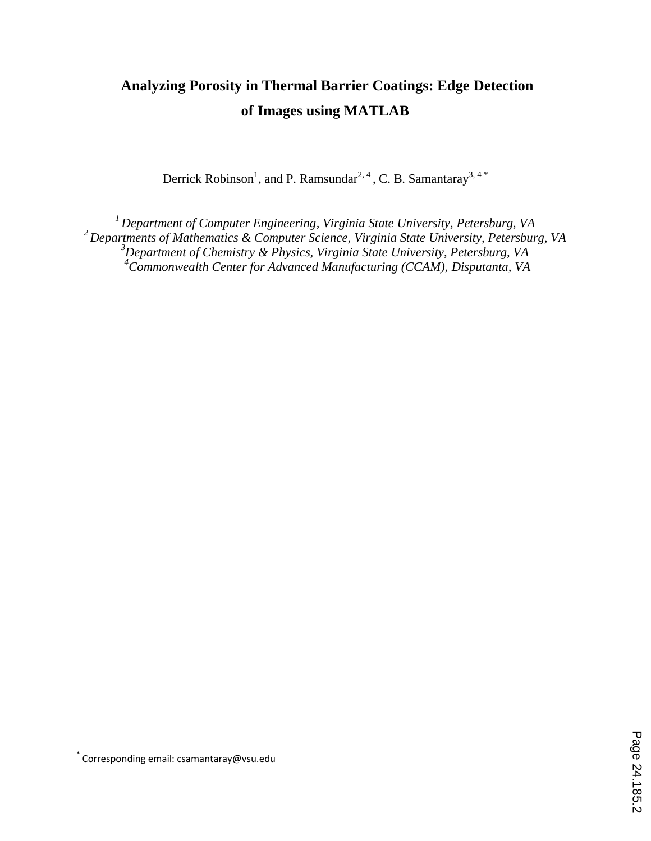# **Analyzing Porosity in Thermal Barrier Coatings: Edge Detection of Images using MATLAB**

Derrick Robinson<sup>1</sup>, and P. Ramsundar<sup>2, 4</sup>, C. B. Samantaray<sup>3, 4\*</sup>

*Department of Computer Engineering, Virginia State University, Petersburg, VA Departments of Mathematics & Computer Science, Virginia State University, Petersburg, VA Department of Chemistry & Physics, Virginia State University, Petersburg, VA Commonwealth Center for Advanced Manufacturing (CCAM), Disputanta, VA*

 \* Corresponding email: csamantaray@vsu.edu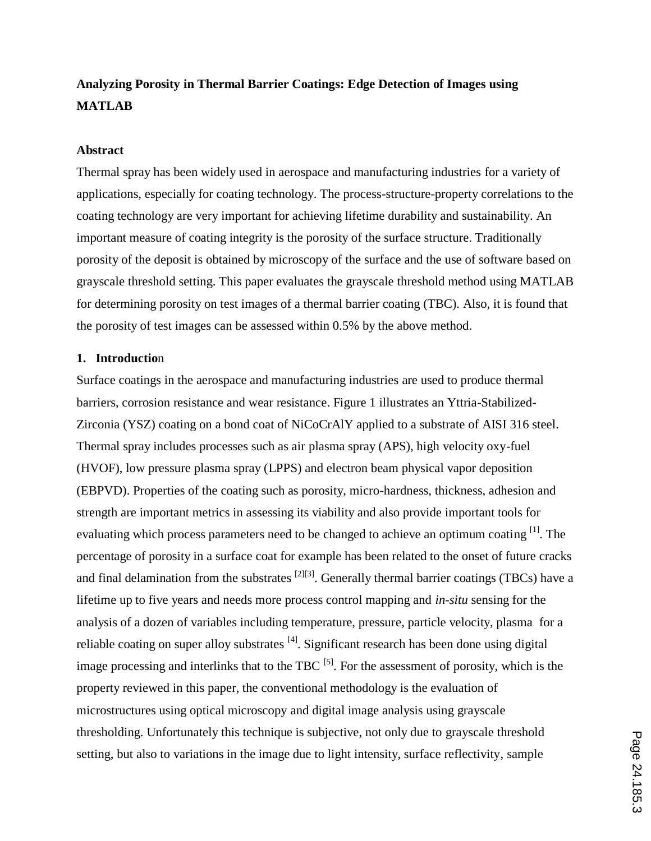# **Analyzing Porosity in Thermal Barrier Coatings: Edge Detection of Images using MATLAB**

#### **Abstract**

Thermal spray has been widely used in aerospace and manufacturing industries for a variety of applications, especially for coating technology. The process-structure-property correlations to the coating technology are very important for achieving lifetime durability and sustainability. An important measure of coating integrity is the porosity of the surface structure. Traditionally porosity of the deposit is obtained by microscopy of the surface and the use of software based on grayscale threshold setting. This paper evaluates the grayscale threshold method using MATLAB for determining porosity on test images of a thermal barrier coating (TBC). Also, it is found that the porosity of test images can be assessed within 0.5% by the above method.

#### **1. Introductio**n

Surface coatings in the aerospace and manufacturing industries are used to produce thermal barriers, corrosion resistance and wear resistance. Figure 1 illustrates an Yttria-Stabilized-Zirconia (YSZ) coating on a bond coat of NiCoCrAlY applied to a substrate of AISI 316 steel. Thermal spray includes processes such as air plasma spray (APS), high velocity oxy-fuel (HVOF), low pressure plasma spray (LPPS) and electron beam physical vapor deposition (EBPVD). Properties of the coating such as porosity, micro-hardness, thickness, adhesion and strength are important metrics in assessing its viability and also provide important tools for evaluating which process parameters need to be changed to achieve an optimum coating <sup>[1]</sup>. The percentage of porosity in a surface coat for example has been related to the onset of future cracks and final delamination from the substrates  $^{[2][3]}$ . Generally thermal barrier coatings (TBCs) have a lifetime up to five years and needs more process control mapping and *in-situ* sensing for the analysis of a dozen of variables including temperature, pressure, particle velocity, plasma for a reliable coating on super alloy substrates <sup>[4]</sup>. Significant research has been done using digital image processing and interlinks that to the TBC  $^{[5]}$ . For the assessment of porosity, which is the property reviewed in this paper, the conventional methodology is the evaluation of microstructures using optical microscopy and digital image analysis using grayscale thresholding. Unfortunately this technique is subjective, not only due to grayscale threshold setting, but also to variations in the image due to light intensity, surface reflectivity, sample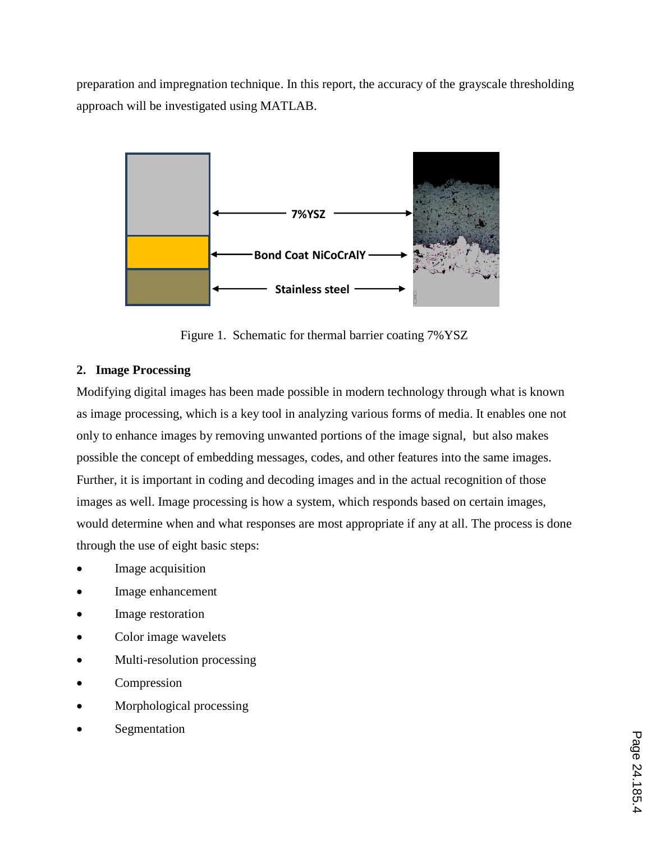preparation and impregnation technique. In this report, the accuracy of the grayscale thresholding approach will be investigated using MATLAB.



Figure 1. Schematic for thermal barrier coating 7%YSZ

# **2. Image Processing**

Modifying digital images has been made possible in modern technology through what is known as image processing, which is a key tool in analyzing various forms of media. It enables one not only to enhance images by removing unwanted portions of the image signal, but also makes possible the concept of embedding messages, codes, and other features into the same images. Further, it is important in coding and decoding images and in the actual recognition of those images as well. Image processing is how a system, which responds based on certain images, would determine when and what responses are most appropriate if any at all. The process is done through the use of eight basic steps:

- Image acquisition
- Image enhancement
- Image restoration
- Color image wavelets
- Multi-resolution processing
- Compression
- Morphological processing
- Segmentation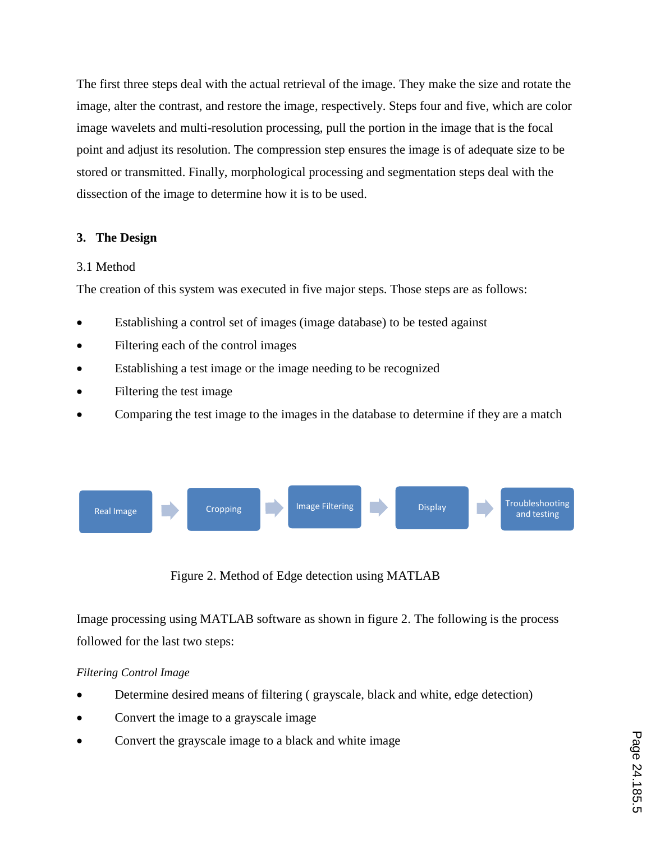The first three steps deal with the actual retrieval of the image. They make the size and rotate the image, alter the contrast, and restore the image, respectively. Steps four and five, which are color image wavelets and multi-resolution processing, pull the portion in the image that is the focal point and adjust its resolution. The compression step ensures the image is of adequate size to be stored or transmitted. Finally, morphological processing and segmentation steps deal with the dissection of the image to determine how it is to be used.

# **3. The Design**

#### 3.1 Method

The creation of this system was executed in five major steps. Those steps are as follows:

- Establishing a control set of images (image database) to be tested against
- Filtering each of the control images
- Establishing a test image or the image needing to be recognized
- Filtering the test image
- Comparing the test image to the images in the database to determine if they are a match



Figure 2. Method of Edge detection using MATLAB

Image processing using MATLAB software as shown in figure 2. The following is the process followed for the last two steps:

### *Filtering Control Image*

- Determine desired means of filtering ( grayscale, black and white, edge detection)
- Convert the image to a grayscale image
- Convert the grayscale image to a black and white image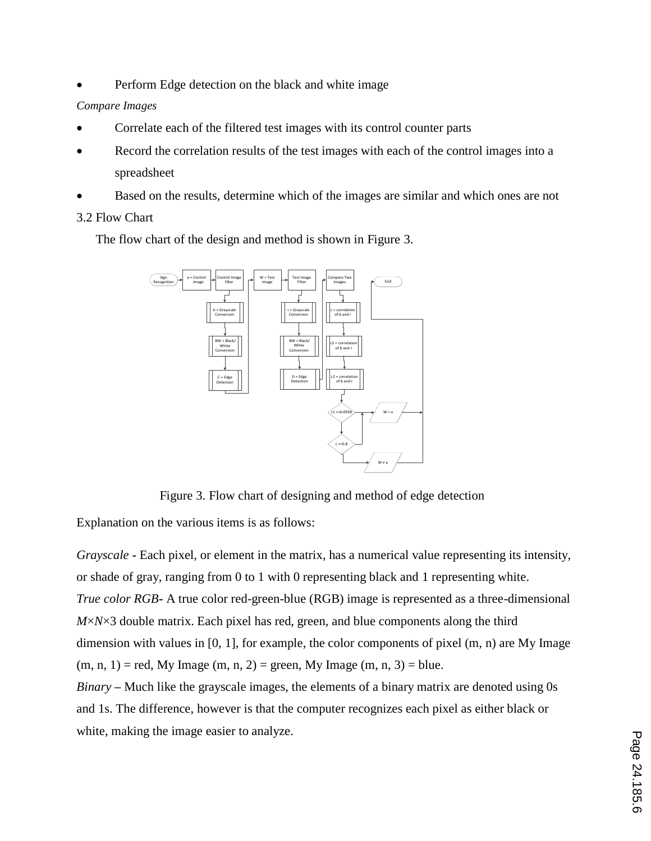Perform Edge detection on the black and white image

### *Compare Images*

- Correlate each of the filtered test images with its control counter parts
- Record the correlation results of the test images with each of the control images into a spreadsheet
- Based on the results, determine which of the images are similar and which ones are not

# 3.2 Flow Chart

The flow chart of the design and method is shown in Figure 3.



Figure 3. Flow chart of designing and method of edge detection

Explanation on the various items is as follows:

*Grayscale* **-** Each pixel, or element in the matrix, has a numerical value representing its intensity, or shade of gray, ranging from 0 to 1 with 0 representing black and 1 representing white. *True color RGB***-** A true color red-green-blue (RGB) image is represented as a three-dimensional *M*×*N*×3 double matrix. Each pixel has red, green, and blue components along the third dimension with values in [0, 1], for example, the color components of pixel (m, n) are My Image  $(m, n, 1)$  = red, My Image  $(m, n, 2)$  = green, My Image  $(m, n, 3)$  = blue. *Binary* **–** Much like the grayscale images, the elements of a binary matrix are denoted using 0s and 1s. The difference, however is that the computer recognizes each pixel as either black or white, making the image easier to analyze.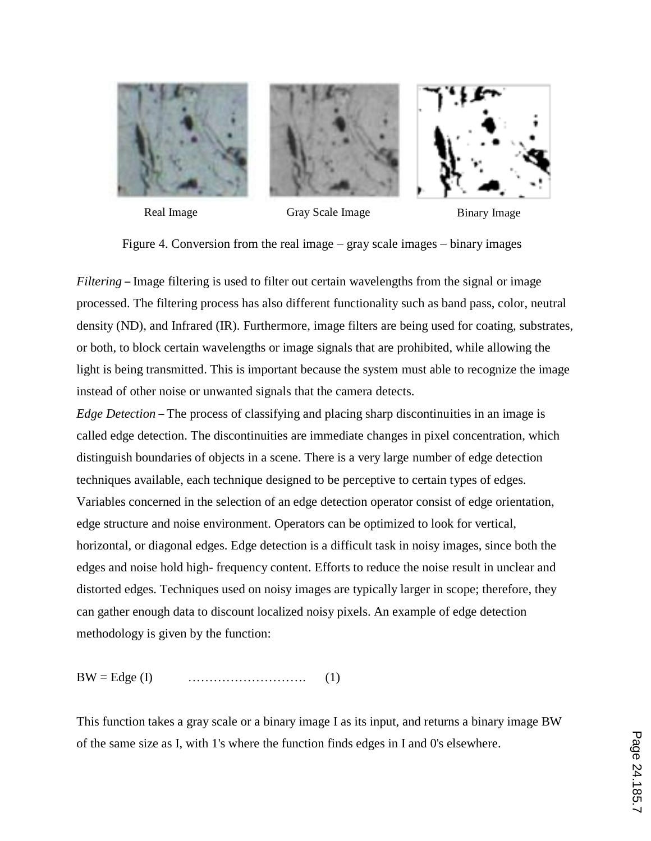

- 
- Real Image Gray Scale Image Binary Image

Figure 4. Conversion from the real image – gray scale images – binary images

*Filtering* – Image filtering is used to filter out certain wavelengths from the signal or image processed. The filtering process has also different functionality such as band pass, color, neutral density (ND), and Infrared (IR). Furthermore, image filters are being used for coating, substrates, or both, to block certain wavelengths or image signals that are prohibited, while allowing the light is being transmitted. This is important because the system must able to recognize the image instead of other noise or unwanted signals that the camera detects.

*Edge Detection* – The process of classifying and placing sharp discontinuities in an image is called edge detection. The discontinuities are immediate changes in pixel concentration, which distinguish boundaries of objects in a scene. There is a very large number of edge detection techniques available, each technique designed to be perceptive to certain types of edges. Variables concerned in the selection of an edge detection operator consist of edge orientation, edge structure and noise environment. Operators can be optimized to look for vertical, horizontal, or diagonal edges. Edge detection is a difficult task in noisy images, since both the edges and noise hold high- frequency content. Efforts to reduce the noise result in unclear and distorted edges. Techniques used on noisy images are typically larger in scope; therefore, they can gather enough data to discount localized noisy pixels. An example of edge detection methodology is given by the function:

BW = Edge (I) ………………………. (1)

This function takes a gray scale or a binary image I as its input, and returns a binary image BW of the same size as I, with 1's where the function finds edges in I and 0's elsewhere.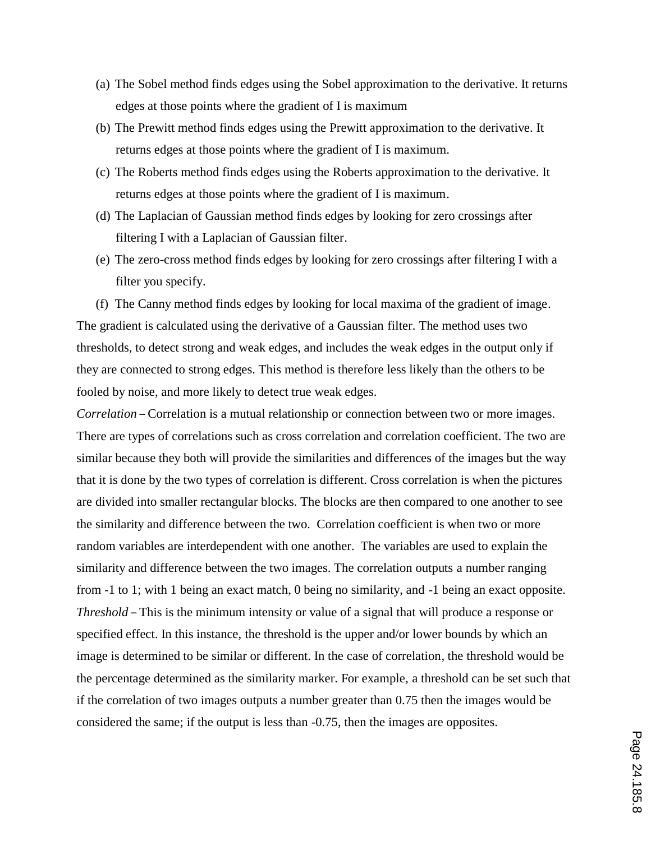- (a) The Sobel method finds edges using the Sobel approximation to the derivative. It returns edges at those points where the gradient of I is maximum
- (b) The Prewitt method finds edges using the Prewitt approximation to the derivative. It returns edges at those points where the gradient of I is maximum.
- (c) The Roberts method finds edges using the Roberts approximation to the derivative. It returns edges at those points where the gradient of I is maximum.
- (d) The Laplacian of Gaussian method finds edges by looking for zero crossings after filtering I with a Laplacian of Gaussian filter.
- (e) The zero-cross method finds edges by looking for zero crossings after filtering I with a filter you specify.
- (f) The Canny method finds edges by looking for local maxima of the gradient of image. The gradient is calculated using the derivative of a Gaussian filter. The method uses two

thresholds, to detect strong and weak edges, and includes the weak edges in the output only if they are connected to strong edges. This method is therefore less likely than the others to be fooled by noise, and more likely to detect true weak edges.

*Correlation* – Correlation is a mutual relationship or connection between two or more images. There are types of correlations such as cross correlation and correlation coefficient. The two are similar because they both will provide the similarities and differences of the images but the way that it is done by the two types of correlation is different. Cross correlation is when the pictures are divided into smaller rectangular blocks. The blocks are then compared to one another to see the similarity and difference between the two. Correlation coefficient is when two or more random variables are interdependent with one another. The variables are used to explain the similarity and difference between the two images. The correlation outputs a number ranging from -1 to 1; with 1 being an exact match, 0 being no similarity, and -1 being an exact opposite. *Threshold* – This is the minimum intensity or value of a signal that will produce a response or specified effect. In this instance, the threshold is the upper and/or lower bounds by which an image is determined to be similar or different. In the case of correlation, the threshold would be the percentage determined as the similarity marker. For example, a threshold can be set such that if the correlation of two images outputs a number greater than 0.75 then the images would be considered the same; if the output is less than -0.75, then the images are opposites.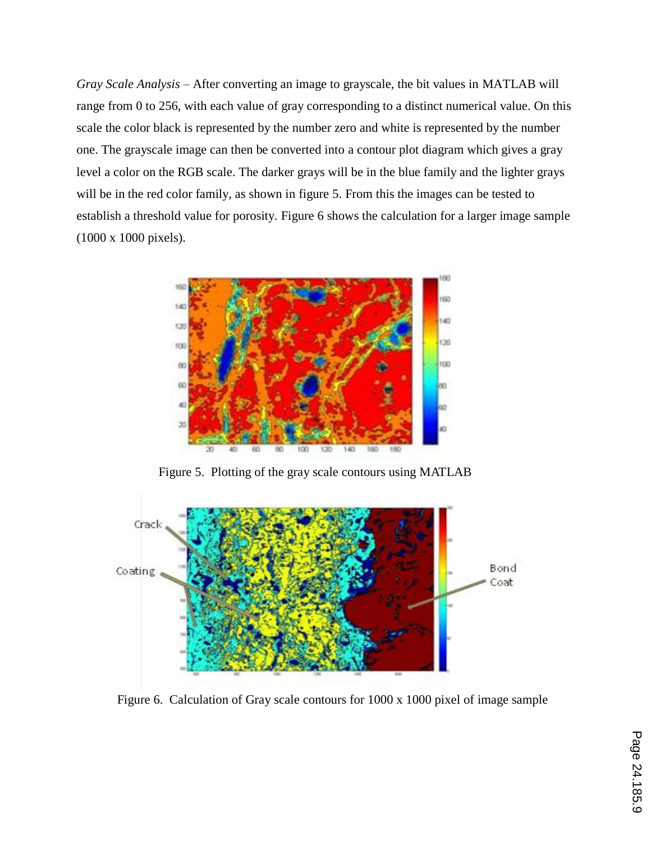*Gray Scale Analysis* – After converting an image to grayscale, the bit values in MATLAB will range from 0 to 256, with each value of gray corresponding to a distinct numerical value. On this scale the color black is represented by the number zero and white is represented by the number one. The grayscale image can then be converted into a contour plot diagram which gives a gray level a color on the RGB scale. The darker grays will be in the blue family and the lighter grays will be in the red color family, as shown in figure 5. From this the images can be tested to establish a threshold value for porosity. Figure 6 shows the calculation for a larger image sample (1000 x 1000 pixels).



Figure 5. Plotting of the gray scale contours using MATLAB



Figure 6. Calculation of Gray scale contours for 1000 x 1000 pixel of image sample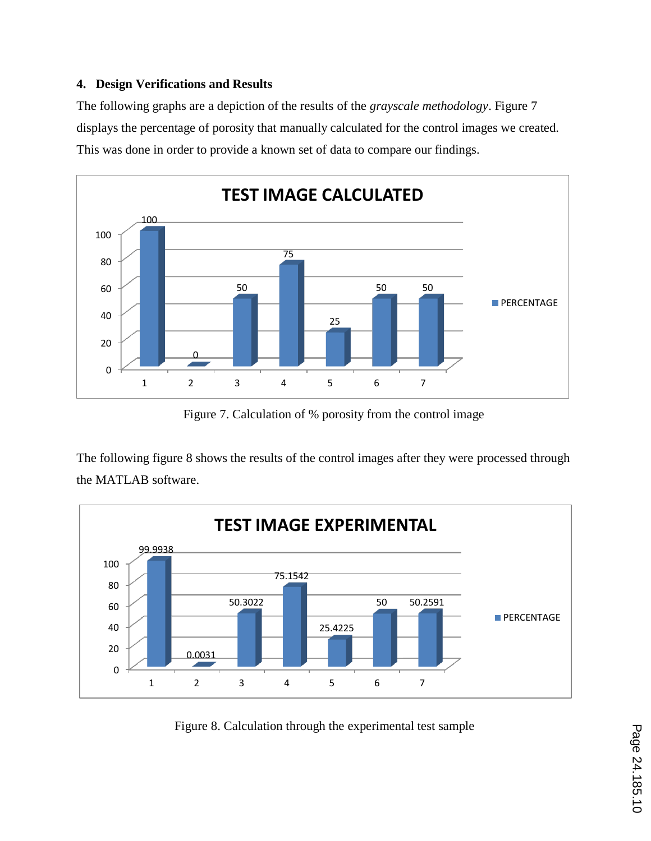#### **4. Design Verifications and Results**

The following graphs are a depiction of the results of the *grayscale methodology*. Figure 7 displays the percentage of porosity that manually calculated for the control images we created. This was done in order to provide a known set of data to compare our findings.



Figure 7. Calculation of % porosity from the control image

The following figure 8 shows the results of the control images after they were processed through the MATLAB software.



Figure 8. Calculation through the experimental test sample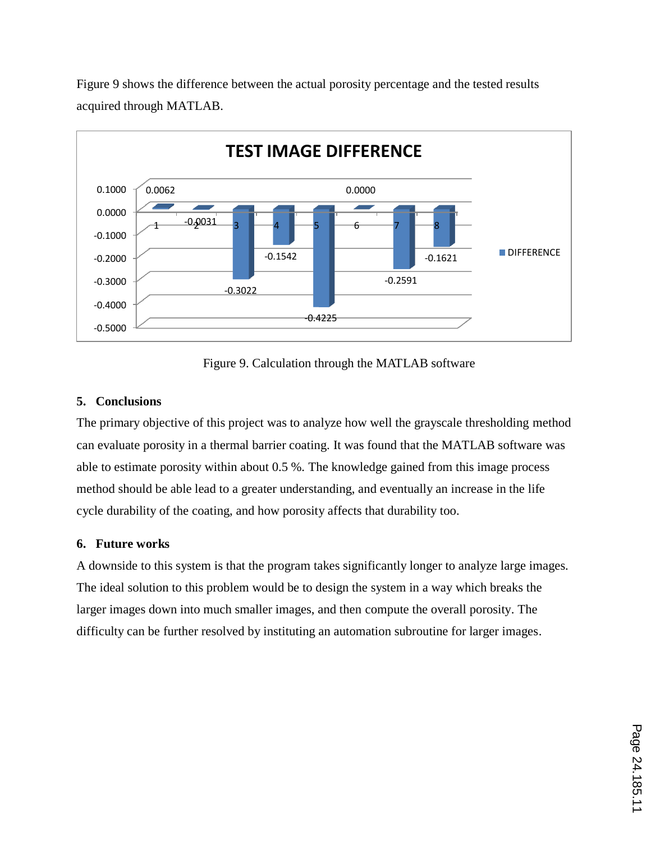

Figure 9 shows the difference between the actual porosity percentage and the tested results acquired through MATLAB.

Figure 9. Calculation through the MATLAB software

#### **5. Conclusions**

The primary objective of this project was to analyze how well the grayscale thresholding method can evaluate porosity in a thermal barrier coating. It was found that the MATLAB software was able to estimate porosity within about 0.5 %. The knowledge gained from this image process method should be able lead to a greater understanding, and eventually an increase in the life cycle durability of the coating, and how porosity affects that durability too.

#### **6. Future works**

A downside to this system is that the program takes significantly longer to analyze large images. The ideal solution to this problem would be to design the system in a way which breaks the larger images down into much smaller images, and then compute the overall porosity. The difficulty can be further resolved by instituting an automation subroutine for larger images.